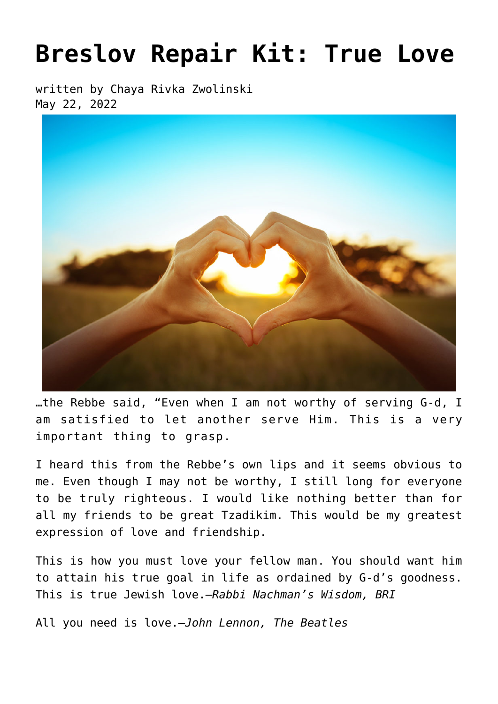# **[Breslov Repair Kit: True Love](https://breslov.org/breslov-repair-kit-true-love/)**

written by Chaya Rivka Zwolinski May 22, 2022



…the Rebbe said, "Even when I am not worthy of serving G-d, I am satisfied to let another serve Him. This is a very important thing to grasp.

I heard this from the Rebbe's own lips and it seems obvious to me. Even though I may not be worthy, I still long for everyone to be truly righteous. I would like nothing better than for all my friends to be great Tzadikim. This would be my greatest expression of love and friendship.

This is how you must love your fellow man. You should want him to attain his true goal in life as ordained by G-d's goodness. This is true Jewish love.—*Rabbi Nachman's Wisdom, BRI*

All you need is love.—*John Lennon, The Beatles*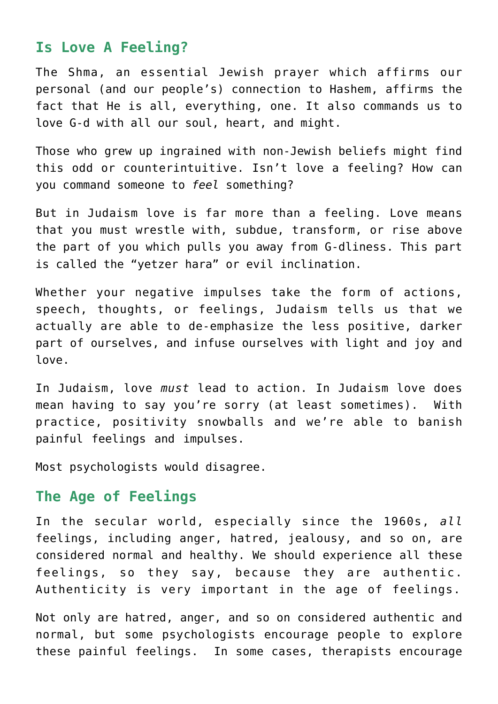## **Is Love A Feeling?**

The Shma, an essential Jewish prayer which affirms our personal (and our people's) connection to Hashem, affirms the fact that He is all, everything, one. It also commands us to love G-d with all our soul, heart, and might.

Those who grew up ingrained with non-Jewish beliefs might find this odd or counterintuitive. Isn't love a feeling? How can you command someone to *feel* something?

But in Judaism love is far more than a feeling. Love means that you must wrestle with, subdue, transform, or rise above the part of you which pulls you away from G-dliness. This part is called the "yetzer hara" or evil inclination.

Whether your negative impulses take the form of actions, speech, thoughts, or feelings, Judaism tells us that we actually are able to de-emphasize the less positive, darker part of ourselves, and infuse ourselves with light and joy and love.

In Judaism, love *must* lead to action. In Judaism love does mean having to say you're sorry (at least sometimes). With practice, positivity snowballs and we're able to banish painful feelings and impulses.

Most psychologists would disagree.

## **The Age of Feelings**

In the secular world, especially since the 1960s, *all* feelings, including anger, hatred, jealousy, and so on, are considered normal and healthy. We should experience all these feelings, so they say, because they are authentic. Authenticity is very important in the age of feelings.

Not only are hatred, anger, and so on considered authentic and normal, but some psychologists encourage people to explore these painful feelings. In some cases, therapists encourage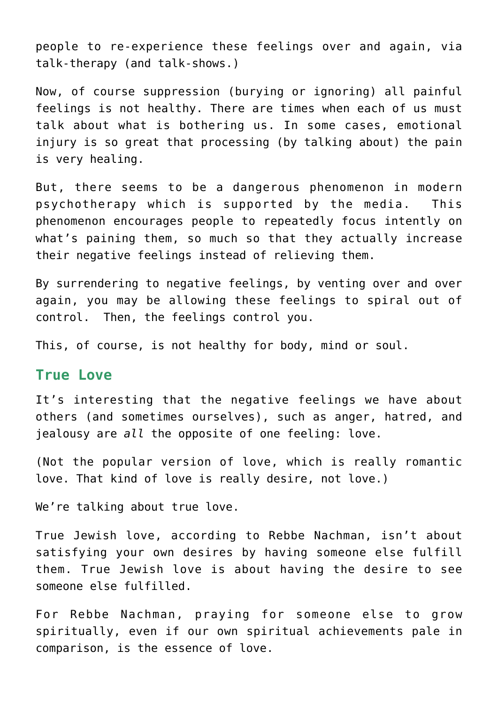people to re-experience these feelings over and again, via talk-therapy (and talk-shows.)

Now, of course suppression (burying or ignoring) all painful feelings is not healthy. There are times when each of us must talk about what is bothering us. In some cases, emotional injury is so great that processing (by talking about) the pain is very healing.

But, there seems to be a dangerous phenomenon in modern psychotherapy which is supported by the media. This phenomenon encourages people to repeatedly focus intently on what's paining them, so much so that they actually increase their negative feelings instead of relieving them.

By surrendering to negative feelings, by venting over and over again, you may be allowing these feelings to spiral out of control. Then, the feelings control you.

This, of course, is not healthy for body, mind or soul.

### **True Love**

It's interesting that the negative feelings we have about others (and sometimes ourselves), such as anger, hatred, and jealousy are *all* the opposite of one feeling: love.

(Not the popular version of love, which is really romantic love. That kind of love is really desire, not love.)

We're talking about true love.

True Jewish love, according to Rebbe Nachman, isn't about satisfying your own desires by having someone else fulfill them. True Jewish love is about having the desire to see someone else fulfilled.

For Rebbe Nachman, praying for someone else to grow spiritually, even if our own spiritual achievements pale in comparison, is the essence of love.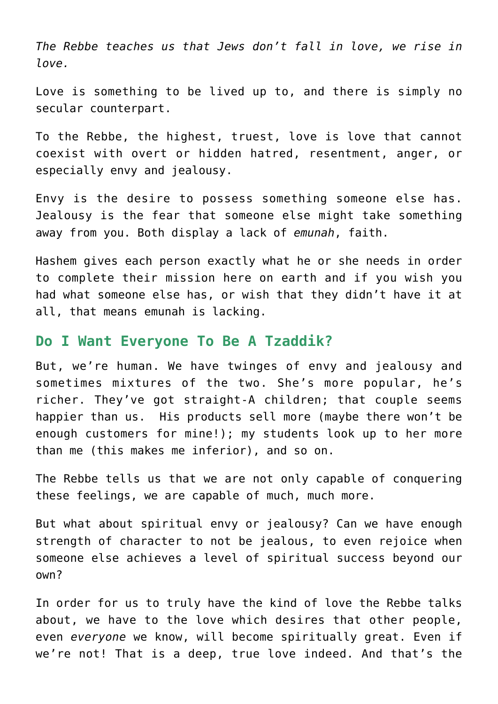*The Rebbe teaches us that Jews don't fall in love, we rise in love.*

Love is something to be lived up to, and there is simply no secular counterpart.

To the Rebbe, the highest, truest, love is love that cannot coexist with overt or hidden hatred, resentment, anger, or especially envy and jealousy.

Envy is the desire to possess something someone else has. Jealousy is the fear that someone else might take something away from you. Both display a lack of *emunah*, faith.

Hashem gives each person exactly what he or she needs in order to complete their mission here on earth and if you wish you had what someone else has, or wish that they didn't have it at all, that means emunah is lacking.

#### **Do I Want Everyone To Be A Tzaddik?**

But, we're human. We have twinges of envy and jealousy and sometimes mixtures of the two. She's more popular, he's richer. They've got straight-A children; that couple seems happier than us. His products sell more (maybe there won't be enough customers for mine!); my students look up to her more than me (this makes me inferior), and so on.

The Rebbe tells us that we are not only capable of conquering these feelings, we are capable of much, much more.

But what about spiritual envy or jealousy? Can we have enough strength of character to not be jealous, to even rejoice when someone else achieves a level of spiritual success beyond our own?

In order for us to truly have the kind of love the Rebbe talks about, we have to the love which desires that other people, even *everyone* we know, will become spiritually great. Even if we're not! That is a deep, true love indeed. And that's the